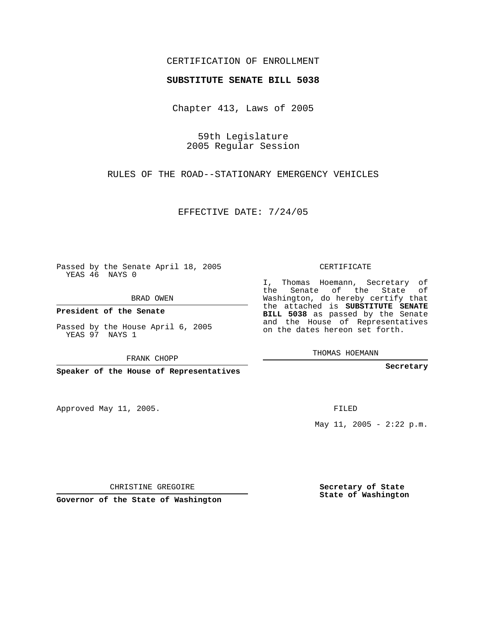## CERTIFICATION OF ENROLLMENT

## **SUBSTITUTE SENATE BILL 5038**

Chapter 413, Laws of 2005

59th Legislature 2005 Regular Session

RULES OF THE ROAD--STATIONARY EMERGENCY VEHICLES

EFFECTIVE DATE: 7/24/05

Passed by the Senate April 18, 2005 YEAS 46 NAYS 0

BRAD OWEN

**President of the Senate**

Passed by the House April 6, 2005 YEAS 97 NAYS 1

FRANK CHOPP

**Speaker of the House of Representatives**

Approved May 11, 2005.

CERTIFICATE

I, Thomas Hoemann, Secretary of the Senate of the State of Washington, do hereby certify that the attached is **SUBSTITUTE SENATE BILL 5038** as passed by the Senate and the House of Representatives on the dates hereon set forth.

THOMAS HOEMANN

**Secretary**

FILED

May 11, 2005 - 2:22 p.m.

CHRISTINE GREGOIRE

**Governor of the State of Washington**

**Secretary of State State of Washington**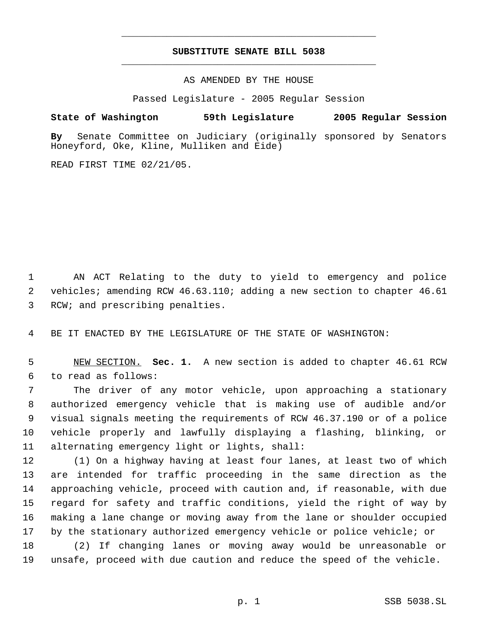## **SUBSTITUTE SENATE BILL 5038** \_\_\_\_\_\_\_\_\_\_\_\_\_\_\_\_\_\_\_\_\_\_\_\_\_\_\_\_\_\_\_\_\_\_\_\_\_\_\_\_\_\_\_\_\_

\_\_\_\_\_\_\_\_\_\_\_\_\_\_\_\_\_\_\_\_\_\_\_\_\_\_\_\_\_\_\_\_\_\_\_\_\_\_\_\_\_\_\_\_\_

AS AMENDED BY THE HOUSE

Passed Legislature - 2005 Regular Session

**State of Washington 59th Legislature 2005 Regular Session**

**By** Senate Committee on Judiciary (originally sponsored by Senators Honeyford, Oke, Kline, Mulliken and Eide)

READ FIRST TIME 02/21/05.

 AN ACT Relating to the duty to yield to emergency and police vehicles; amending RCW 46.63.110; adding a new section to chapter 46.61 RCW; and prescribing penalties.

BE IT ENACTED BY THE LEGISLATURE OF THE STATE OF WASHINGTON:

 NEW SECTION. **Sec. 1.** A new section is added to chapter 46.61 RCW to read as follows:

 The driver of any motor vehicle, upon approaching a stationary authorized emergency vehicle that is making use of audible and/or visual signals meeting the requirements of RCW 46.37.190 or of a police vehicle properly and lawfully displaying a flashing, blinking, or alternating emergency light or lights, shall:

 (1) On a highway having at least four lanes, at least two of which are intended for traffic proceeding in the same direction as the approaching vehicle, proceed with caution and, if reasonable, with due regard for safety and traffic conditions, yield the right of way by making a lane change or moving away from the lane or shoulder occupied by the stationary authorized emergency vehicle or police vehicle; or

 (2) If changing lanes or moving away would be unreasonable or unsafe, proceed with due caution and reduce the speed of the vehicle.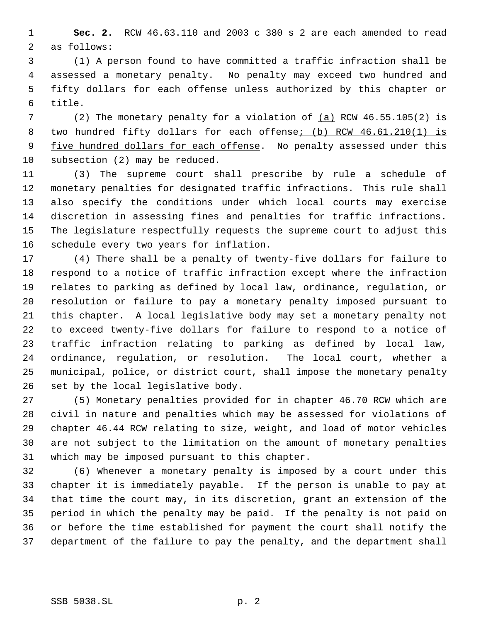**Sec. 2.** RCW 46.63.110 and 2003 c 380 s 2 are each amended to read as follows:

 (1) A person found to have committed a traffic infraction shall be assessed a monetary penalty. No penalty may exceed two hundred and fifty dollars for each offense unless authorized by this chapter or title.

 (2) The monetary penalty for a violation of (a) RCW 46.55.105(2) is 8 two hundred fifty dollars for each offense; (b) RCW 46.61.210(1) is 9 five hundred dollars for each offense. No penalty assessed under this subsection (2) may be reduced.

 (3) The supreme court shall prescribe by rule a schedule of monetary penalties for designated traffic infractions. This rule shall also specify the conditions under which local courts may exercise discretion in assessing fines and penalties for traffic infractions. The legislature respectfully requests the supreme court to adjust this schedule every two years for inflation.

 (4) There shall be a penalty of twenty-five dollars for failure to respond to a notice of traffic infraction except where the infraction relates to parking as defined by local law, ordinance, regulation, or resolution or failure to pay a monetary penalty imposed pursuant to this chapter. A local legislative body may set a monetary penalty not to exceed twenty-five dollars for failure to respond to a notice of traffic infraction relating to parking as defined by local law, ordinance, regulation, or resolution. The local court, whether a municipal, police, or district court, shall impose the monetary penalty set by the local legislative body.

 (5) Monetary penalties provided for in chapter 46.70 RCW which are civil in nature and penalties which may be assessed for violations of chapter 46.44 RCW relating to size, weight, and load of motor vehicles are not subject to the limitation on the amount of monetary penalties which may be imposed pursuant to this chapter.

 (6) Whenever a monetary penalty is imposed by a court under this chapter it is immediately payable. If the person is unable to pay at that time the court may, in its discretion, grant an extension of the period in which the penalty may be paid. If the penalty is not paid on or before the time established for payment the court shall notify the department of the failure to pay the penalty, and the department shall